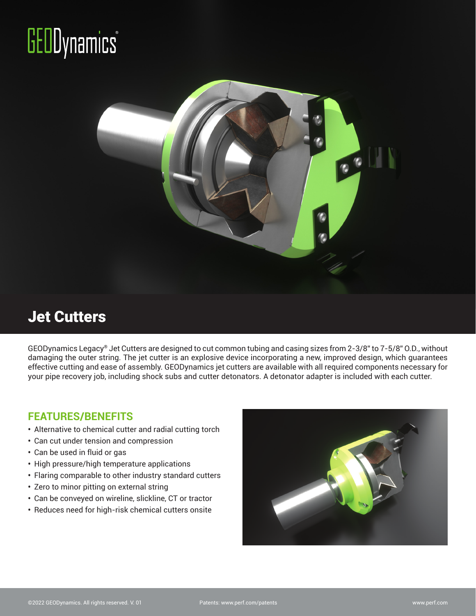# **GEODynamics**



### Jet Cutters

GEODynamics Legacy® Jet Cutters are designed to cut common tubing and casing sizes from 2-3/8" to 7-5/8" O.D., without damaging the outer string. The jet cutter is an explosive device incorporating a new, improved design, which guarantees effective cutting and ease of assembly. GEODynamics jet cutters are available with all required components necessary for your pipe recovery job, including shock subs and cutter detonators. A detonator adapter is included with each cutter.

#### **FEATURES/BENEFITS**

- **•** Alternative to chemical cutter and radial cutting torch
- **•** Can cut under tension and compression
- **•** Can be used in fluid or gas
- **•** High pressure/high temperature applications
- **•** Flaring comparable to other industry standard cutters
- **•** Zero to minor pitting on external string
- **•** Can be conveyed on wireline, slickline, CT or tractor
- **•** Reduces need for high-risk chemical cutters onsite